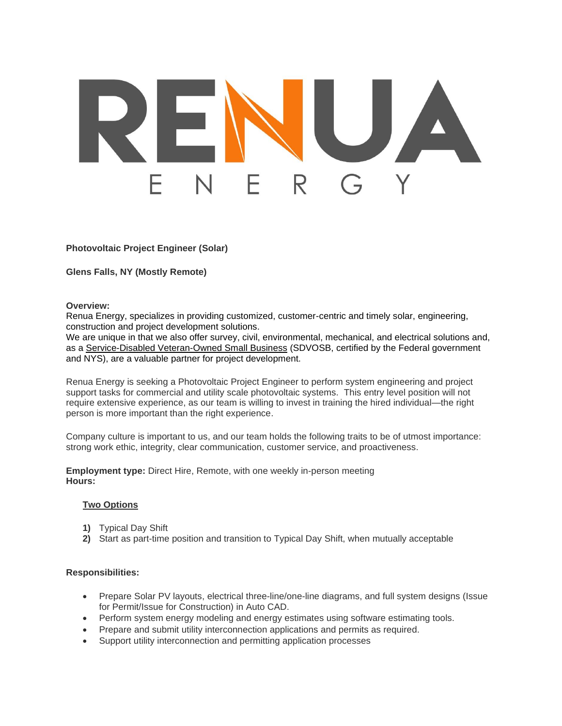**Photovoltaic Project Engineer (Solar)**

**Glens Falls, NY (Mostly Remote)**

#### **Overview:**

Renua Energy, specializes in providing customized, customer-centric and timely solar, engineering, construction and project development solutions.

We are unique in that we also offer survey, civil, environmental, mechanical, and electrical solutions and, as a Service-Disabled Veteran-Owned Small Business (SDVOSB, certified by the Federal government and NYS), are a valuable partner for project development.

Renua Energy is seeking a Photovoltaic Project Engineer to perform system engineering and project support tasks for commercial and utility scale photovoltaic systems. This entry level position will not require extensive experience, as our team is willing to invest in training the hired individual—the right person is more important than the right experience.

Company culture is important to us, and our team holds the following traits to be of utmost importance: strong work ethic, integrity, clear communication, customer service, and proactiveness.

**Employment type:** Direct Hire, Remote, with one weekly in-person meeting **Hours:**

### **Two Options**

- **1)** Typical Day Shift
- **2)** Start as part-time position and transition to Typical Day Shift, when mutually acceptable

### **Responsibilities:**

- Prepare Solar PV layouts, electrical three-line/one-line diagrams, and full system designs (Issue for Permit/Issue for Construction) in Auto CAD.
- Perform system energy modeling and energy estimates using software estimating tools.
- Prepare and submit utility interconnection applications and permits as required.
- Support utility interconnection and permitting application processes